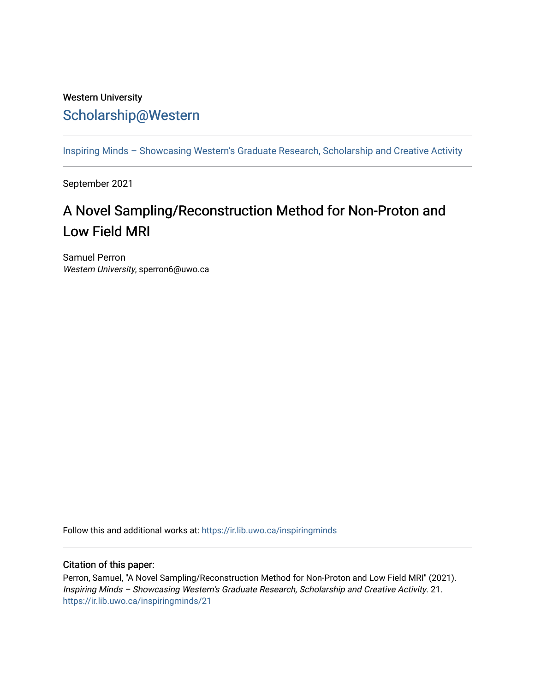## Western University [Scholarship@Western](https://ir.lib.uwo.ca/)

[Inspiring Minds – Showcasing Western's Graduate Research, Scholarship and Creative Activity](https://ir.lib.uwo.ca/inspiringminds) 

September 2021

## A Novel Sampling/Reconstruction Method for Non-Proton and Low Field MRI

Samuel Perron Western University, sperron6@uwo.ca

Follow this and additional works at: [https://ir.lib.uwo.ca/inspiringminds](https://ir.lib.uwo.ca/inspiringminds?utm_source=ir.lib.uwo.ca%2Finspiringminds%2F21&utm_medium=PDF&utm_campaign=PDFCoverPages) 

## Citation of this paper:

Perron, Samuel, "A Novel Sampling/Reconstruction Method for Non-Proton and Low Field MRI" (2021). Inspiring Minds – Showcasing Western's Graduate Research, Scholarship and Creative Activity. 21. [https://ir.lib.uwo.ca/inspiringminds/21](https://ir.lib.uwo.ca/inspiringminds/21?utm_source=ir.lib.uwo.ca%2Finspiringminds%2F21&utm_medium=PDF&utm_campaign=PDFCoverPages)